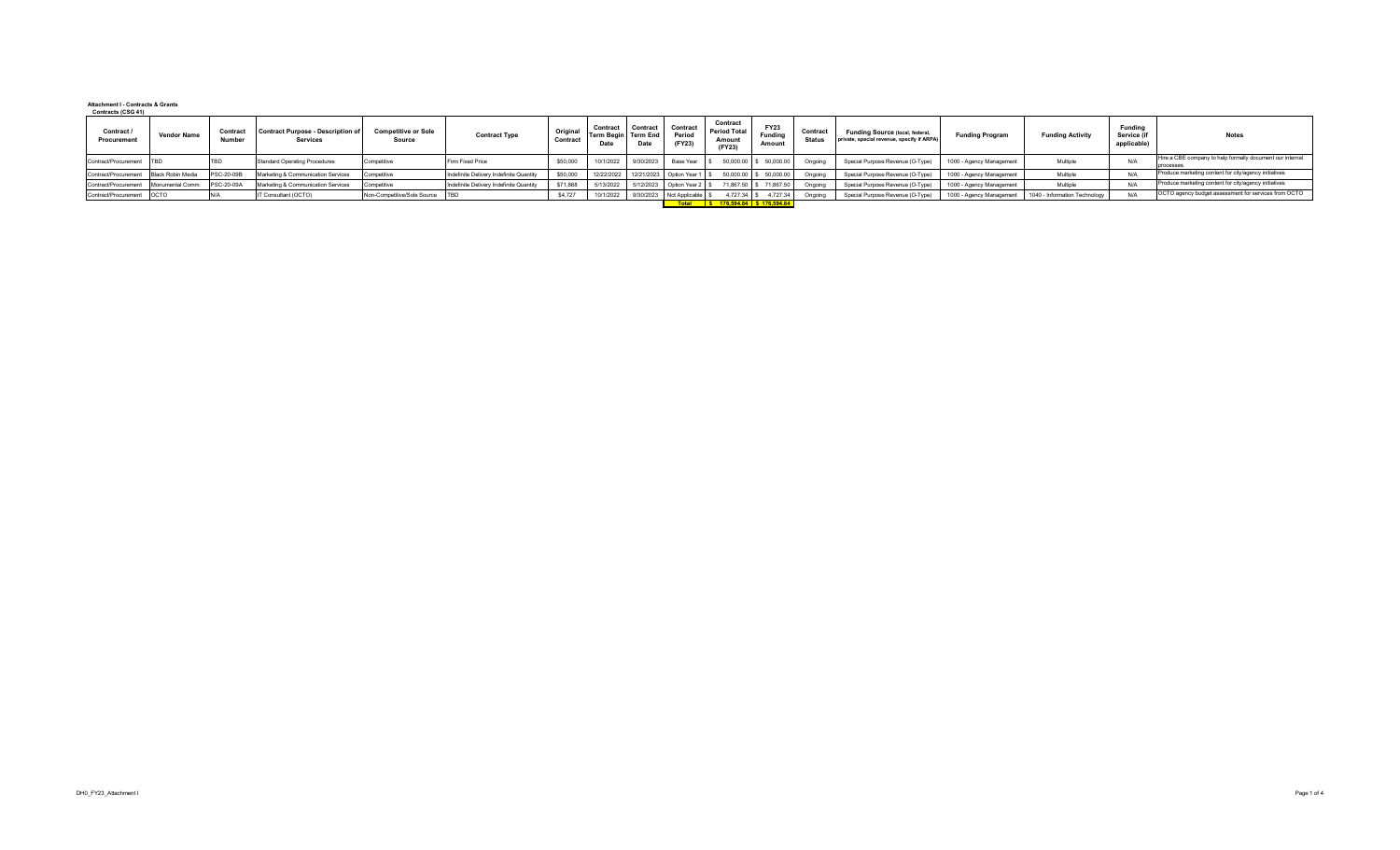## **Attachment I - Contracts & Grants Contracts (CSG 41)**

| Contract /<br>Procurement | <b>Vendor Name</b> | Contrac<br>Number | <b>Contract Purpose - Description of</b><br><b>Services</b> | <b>Competitive or Sole</b><br><b>Source</b> | <b>Contract Type</b>                    | Origina<br>Contract | Contract<br>Term Begin Term End<br>Date | Contract<br>Date | Contract<br>Period<br>(FY23) | Contract<br><b>Period Total</b><br>Amoun<br>(FY23) | <b>FY23</b><br>Funding<br>Amount | Contrac<br><b>Status</b> | Funding Source (local, federal,<br>private, special revenue, specify if ARPA) | <b>Funding Program</b>   | <b>Funding Activity</b>       | Fundina<br>Service (if<br>applicable) | <b>Notes</b>                                                           |
|---------------------------|--------------------|-------------------|-------------------------------------------------------------|---------------------------------------------|-----------------------------------------|---------------------|-----------------------------------------|------------------|------------------------------|----------------------------------------------------|----------------------------------|--------------------------|-------------------------------------------------------------------------------|--------------------------|-------------------------------|---------------------------------------|------------------------------------------------------------------------|
| Contract/Procurement TBD  |                    |                   | Standard Operating Procedures                               | Competitive                                 | Firm Fixed Price                        | \$50,000            | 10/1/2022                               | 9/30/2023        | Base Year                    |                                                    | 50,000.00 \$ 50,000.00           | Ongoing                  | Special Purpose Revenue (O-Type)                                              | 1000 - Agency Management | Multiple                      | $N$ /                                 | Hire a CBE company to help formally document our internal<br>processes |
| Contract/Procurement      | Black Robin Media  | PSC-20-09         | Marketing & Communication Services                          | Competitive                                 | Indefinite Delivery Indefinite Quantity | \$50,000            | 12/22/2022                              |                  | 12/21/2023 Option Year 1     |                                                    | 50,000.00 \$ 50,000.00           | Ongoing                  | Special Purpose Revenue (O-Type)                                              | 1000 - Agency Management | Multiple                      |                                       | Produce marketing content for city/agency initiatives                  |
| Contract/Procurement      | Monumental Comm.   | PSC-20-09         | Marketing & Communication Services                          | Competitive                                 | Indefinite Delivery Indefinite Quantity | \$71,868            | 5/13/2022                               | 5/12/2023        | Option Year 2 \$             |                                                    | 71,867.50 \$ 71,867.50           | Ongoing                  | Special Purpose Revenue (O-Type)                                              | 1000 - Agency Management | Multiple                      |                                       | Produce marketing content for city/agency initiatives                  |
| Contract/Procurement OCTO |                    |                   | IT Consultant (OCTO)                                        | Non-Competitive/Sole Source                 |                                         | \$4,727             | 10/1/2022                               | 9/30/2023        | Not Applicable               | 4,727.34 \$                                        | 4,727.34                         | Ongoing                  | Special Purpose Revenue (O-Type)                                              | 1000 - Agency Management | 1040 - Information Technology |                                       | OCTO agency budget assessment for services from OCTO                   |
|                           |                    |                   |                                                             |                                             |                                         |                     |                                         |                  |                              | Total S 176.594.84 \$ 176.594.84                   |                                  |                          |                                                                               |                          |                               |                                       |                                                                        |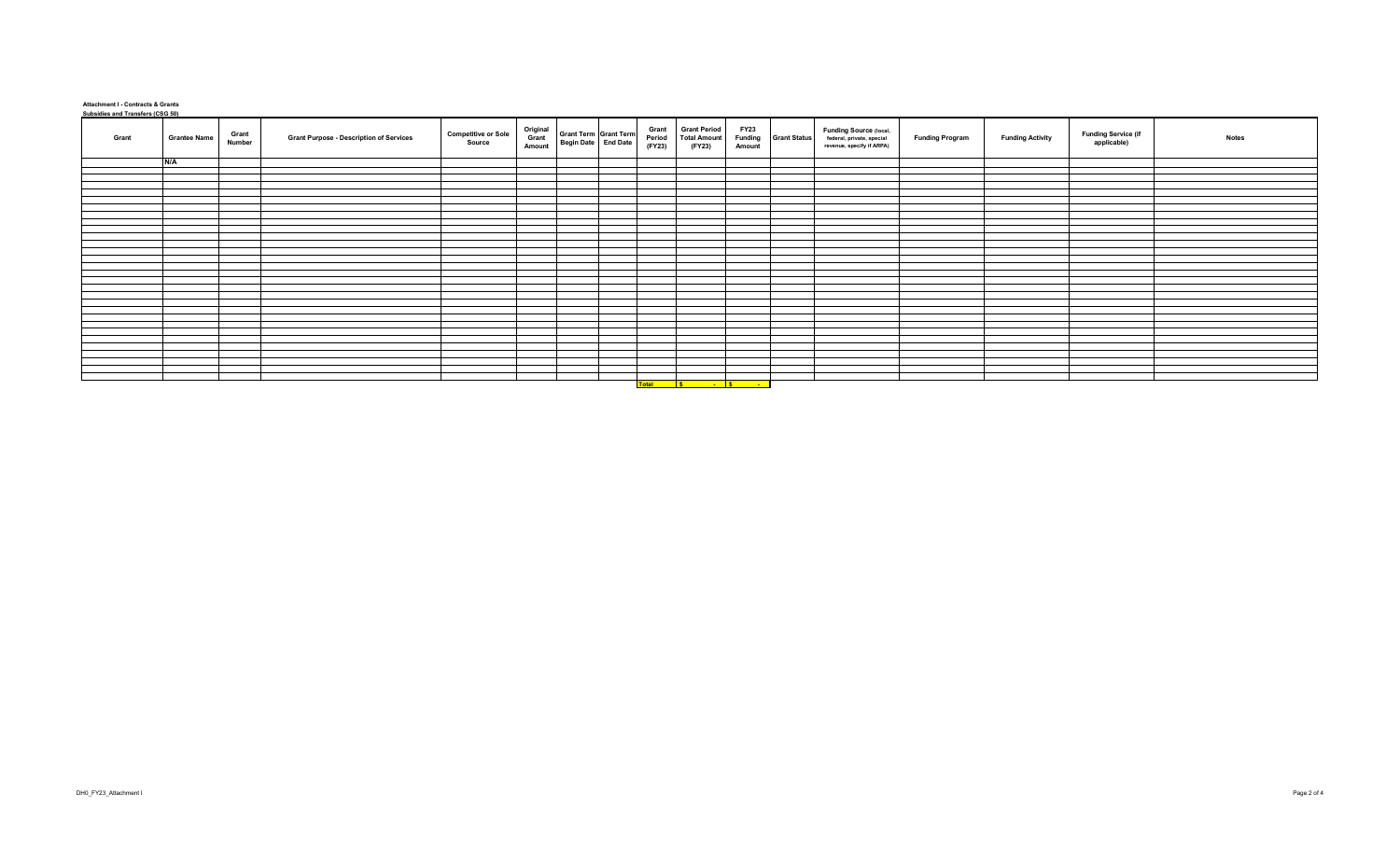## **Attachment I - Contracts & Grants Subsidies and Transfers (CSG 50)**

| <u><b>Subsidios and Transfers (SSS SS)</b></u><br>Grant | <b>Grantee Name</b> | Grant<br>Number | <b>Grant Purpose - Description of Services</b> | <b>Competitive or Sole</b><br>Source | Original<br>Grant<br>Amount | Grant Term Grant Term<br>Begin Date End Date | Grant<br>Period<br>(FY23) | <b>Grant Period</b><br><b>Total Amount</b><br>(FY23) | <b>FY23</b><br><b>Funding</b><br>Amount | <b>Grant Status</b> | Funding Source (local,<br>federal, private, special<br>revenue, specify if ARPA) | <b>Funding Program</b> | <b>Funding Activity</b> | <b>Funding Service (if</b><br>applicable) | <b>Notes</b> |
|---------------------------------------------------------|---------------------|-----------------|------------------------------------------------|--------------------------------------|-----------------------------|----------------------------------------------|---------------------------|------------------------------------------------------|-----------------------------------------|---------------------|----------------------------------------------------------------------------------|------------------------|-------------------------|-------------------------------------------|--------------|
|                                                         | N/A                 |                 |                                                |                                      |                             |                                              |                           |                                                      |                                         |                     |                                                                                  |                        |                         |                                           |              |
|                                                         |                     |                 |                                                |                                      |                             |                                              |                           |                                                      |                                         |                     |                                                                                  |                        |                         |                                           |              |
|                                                         |                     |                 |                                                |                                      |                             |                                              |                           |                                                      |                                         |                     |                                                                                  |                        |                         |                                           |              |
|                                                         |                     |                 |                                                |                                      |                             |                                              |                           |                                                      |                                         |                     |                                                                                  |                        |                         |                                           |              |
|                                                         |                     |                 |                                                |                                      |                             |                                              |                           |                                                      |                                         |                     |                                                                                  |                        |                         |                                           |              |
|                                                         |                     |                 |                                                |                                      |                             |                                              |                           |                                                      |                                         |                     |                                                                                  |                        |                         |                                           |              |
|                                                         |                     |                 |                                                |                                      |                             |                                              |                           |                                                      |                                         |                     |                                                                                  |                        |                         |                                           |              |
|                                                         |                     |                 |                                                |                                      |                             |                                              |                           |                                                      |                                         |                     |                                                                                  |                        |                         |                                           |              |
|                                                         |                     |                 |                                                |                                      |                             |                                              |                           |                                                      |                                         |                     |                                                                                  |                        |                         |                                           |              |
|                                                         |                     |                 |                                                |                                      |                             |                                              |                           |                                                      |                                         |                     |                                                                                  |                        |                         |                                           |              |
|                                                         |                     |                 |                                                |                                      |                             |                                              |                           |                                                      |                                         |                     |                                                                                  |                        |                         |                                           |              |
|                                                         |                     |                 |                                                |                                      |                             |                                              |                           |                                                      |                                         |                     |                                                                                  |                        |                         |                                           |              |
|                                                         |                     |                 |                                                |                                      |                             |                                              |                           |                                                      |                                         |                     |                                                                                  |                        |                         |                                           |              |
|                                                         |                     |                 |                                                |                                      |                             |                                              |                           |                                                      |                                         |                     |                                                                                  |                        |                         |                                           |              |
|                                                         |                     |                 |                                                |                                      |                             |                                              |                           |                                                      |                                         |                     |                                                                                  |                        |                         |                                           |              |
|                                                         |                     |                 |                                                |                                      |                             |                                              |                           |                                                      |                                         |                     |                                                                                  |                        |                         |                                           |              |
|                                                         |                     |                 |                                                |                                      |                             |                                              |                           |                                                      |                                         |                     |                                                                                  |                        |                         |                                           |              |
|                                                         |                     |                 |                                                |                                      |                             |                                              |                           |                                                      |                                         |                     |                                                                                  |                        |                         |                                           |              |
|                                                         |                     |                 |                                                |                                      |                             |                                              |                           |                                                      |                                         |                     |                                                                                  |                        |                         |                                           |              |
|                                                         |                     |                 |                                                |                                      |                             |                                              |                           |                                                      |                                         |                     |                                                                                  |                        |                         |                                           |              |
|                                                         |                     |                 |                                                |                                      |                             |                                              |                           |                                                      |                                         |                     |                                                                                  |                        |                         |                                           |              |
|                                                         |                     |                 |                                                |                                      |                             |                                              |                           |                                                      |                                         |                     |                                                                                  |                        |                         |                                           |              |
|                                                         |                     |                 |                                                |                                      |                             |                                              |                           |                                                      |                                         |                     |                                                                                  |                        |                         |                                           |              |
|                                                         |                     |                 |                                                |                                      |                             |                                              |                           |                                                      |                                         |                     |                                                                                  |                        |                         |                                           |              |
|                                                         |                     |                 |                                                |                                      |                             |                                              |                           |                                                      |                                         |                     |                                                                                  |                        |                         |                                           |              |
|                                                         |                     |                 |                                                |                                      |                             |                                              |                           |                                                      |                                         |                     |                                                                                  |                        |                         |                                           |              |
|                                                         |                     |                 |                                                |                                      |                             |                                              |                           |                                                      |                                         |                     |                                                                                  |                        |                         |                                           |              |
|                                                         |                     |                 |                                                |                                      |                             |                                              |                           |                                                      |                                         |                     |                                                                                  |                        |                         |                                           |              |
|                                                         |                     |                 |                                                |                                      |                             |                                              |                           |                                                      |                                         |                     |                                                                                  |                        |                         |                                           |              |
|                                                         |                     |                 |                                                |                                      |                             |                                              |                           |                                                      |                                         |                     |                                                                                  |                        |                         |                                           |              |
|                                                         |                     |                 |                                                |                                      |                             |                                              |                           | Total S - S -                                        |                                         |                     |                                                                                  |                        |                         |                                           |              |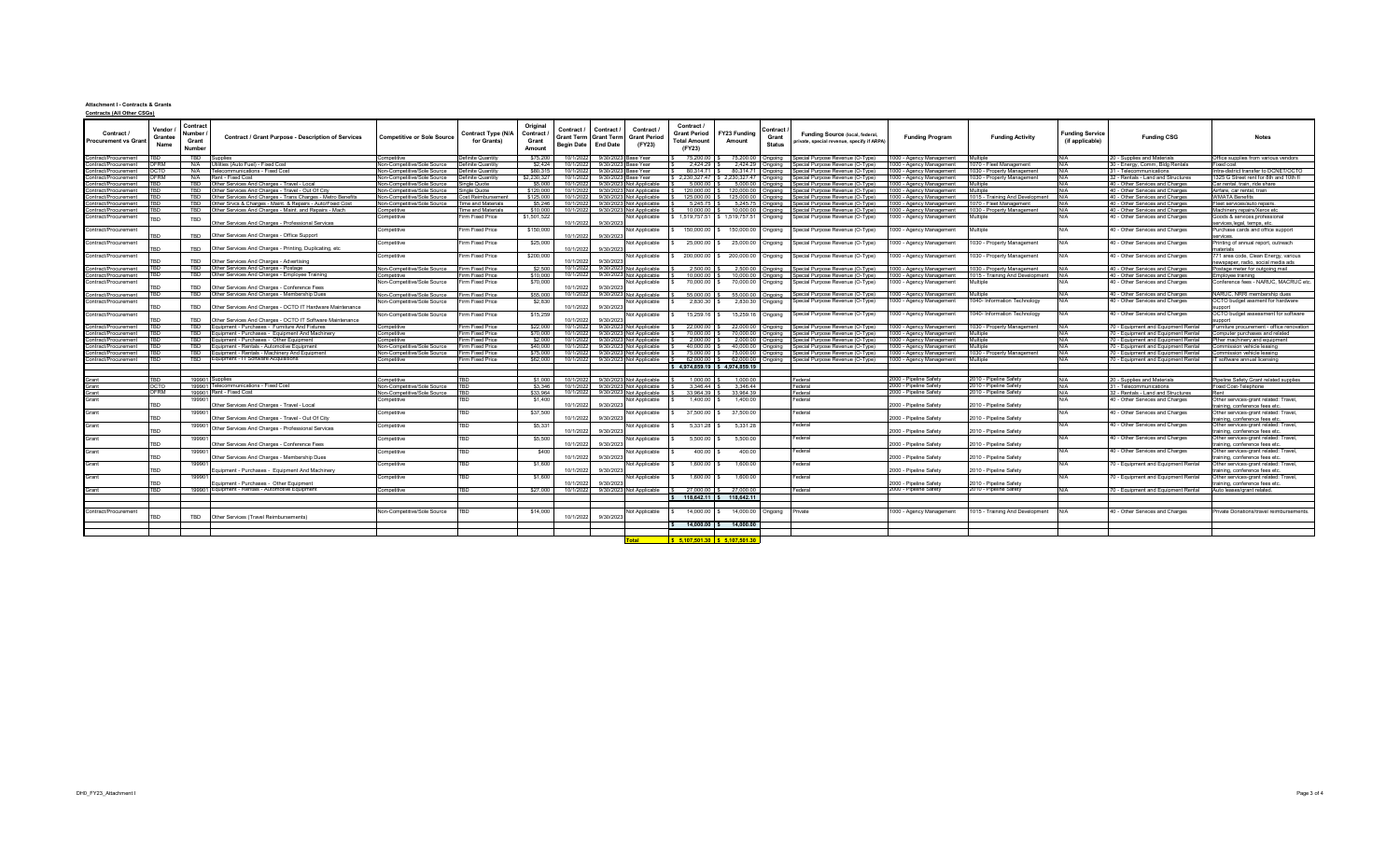## **Attachment I - Contracts & Grants**

| <b>Contracts (All Other CSGs)</b> |
|-----------------------------------|
|-----------------------------------|

| Contract /<br><b>Procurement vs Grant</b>    | Vendor<br>Grantee<br>Name | Contrac<br>umber<br>Grant<br>Number | Contract / Grant Purpose - Description of Services                                                | <b>Competitive or Sole Source</b>                          | Contract Type (N/A<br>for Grants)    | Original<br>Contract<br>Grant<br>Amount | Contract /<br>Grant Term Grant Term<br>Begin Date End Date | Contract /<br>Contract /<br><b>Grant Period</b><br>(FY23)                | Contract /<br><b>Grant Period</b><br><b>Total Amount</b><br>(FY23) | Contract ∤<br>FY23 Funding<br>Grant<br>Amount<br><b>Status</b> | Funding Source (local, federal,<br>private, special revenue, specify if ARPA) | <b>Funding Program</b>                            | <b>Funding Activity</b>                          | unding Service <sup>-</sup><br>(if applicable) | <b>Funding CSG</b>                                                         | <b>Notes</b>                                                           |
|----------------------------------------------|---------------------------|-------------------------------------|---------------------------------------------------------------------------------------------------|------------------------------------------------------------|--------------------------------------|-----------------------------------------|------------------------------------------------------------|--------------------------------------------------------------------------|--------------------------------------------------------------------|----------------------------------------------------------------|-------------------------------------------------------------------------------|---------------------------------------------------|--------------------------------------------------|------------------------------------------------|----------------------------------------------------------------------------|------------------------------------------------------------------------|
| Contract/Procurement                         |                           | <b>TBD</b>                          | Supplies                                                                                          | Competitive                                                | Definite Quantity                    | \$75,200                                |                                                            | 10/1/2022 9/30/2023 Base Year                                            | 75,200.00                                                          | 75,200.00 Ongoing                                              | Special Purpose Revenue (O-Type)                                              | 00 - Agency Management                            | Multiple                                         | N/A                                            | 20 - Supplies and Materials                                                | Office supplies from various vendors                                   |
| Contract/Procurement                         | OFRM                      | N/A                                 | Itilities (Auto Fuel) - Fixed Cost                                                                | Non-Competitive/Sole Source                                | Definite Quantity                    | \$2,424                                 | 10/1/2022                                                  | 9/30/2023 Base Year                                                      | 2.424.29 S                                                         | 2.424.29 Ongoing                                               | Special Purpose Revenue (O-Type)                                              | 00 - Agency Management                            | 1070 - Fleet Management                          | N/A                                            | 30 - Energy, Comm, Bldg Rentals                                            | Fixed cost                                                             |
| ontract/Procurement                          | OCTO                      | N/A                                 | Telecommunications - Fixed Cost                                                                   | Non-Competitive/Sole Source                                | Definite Quantity                    | \$80,315                                |                                                            | 10/1/2022 9/30/2023 Base Year                                            | 80 314 71 \$                                                       | 80,314.71 Ongoing                                              | Special Purpose Revenue (O-Type)                                              | 00 - Agency Management                            | 1030 - Property Management                       | N/A                                            | 31 - Telecommunications                                                    | ntra-district transfer to DCNET/OCTO                                   |
| contract/Procurement                         | <b>OFRM</b>               | N/A                                 | Rent - Fixed Cost                                                                                 | Non-Competitive/Sole Source                                | Definite Quantity                    | \$2 230 327                             |                                                            | 10/1/2022 9/30/2023 Base Year                                            |                                                                    | \$ 2.230.327.47 \$ 2,230,327.47 Ongoing                        | Special Purpose Revenue (O-Type)                                              | 00 - Agency Management                            | 1030 - Property Management                       | N/A                                            | 32 - Rentals - Land and Structures                                         | 1325 G Street rent for 8th and 10th fl                                 |
| Contract/Procurement                         | TRN                       | TBD                                 | Other Services And Charges - Travel - Local                                                       | Non-Competitive/Sole Source                                | Single Quote                         | \$5,000                                 |                                                            | 10/1/2022 9/30/2023 Not Applicable                                       | 5.000.00                                                           |                                                                | 5,000.00 Ongoing Special Purpose Revenue (O-Type)                             | 00 - Agency Management                            | Multiple                                         | N/A                                            | 40 - Other Services and Charges                                            | Car rental, train, ride share                                          |
| Contract/Procurement                         | TRD                       | <b>TRD</b>                          | Other Services And Charges - Travel - Out Of City                                                 | Non-Competitive/Sole Source                                | Single Quote                         | \$120,000                               | 10/1/2022                                                  | 9/30/2023 Not Applicable                                                 | 120,000.00                                                         | 120,000.00<br>Onaoina                                          | Special Purpose Revenue (O-Type)                                              | 00 - Agency Management                            | Multiple                                         | N/A                                            | 40 - Other Services and Charges                                            | Airfare, car rental, train                                             |
| ontract/Procurement                          |                           |                                     | Other Services And Charges - Trans Charges - Metro Benefits                                       | Non-Competitive/Sole Source                                | Cost Reimbursement                   | \$125,000                               |                                                            | 10/1/2022 9/30/2023 Not Applicable                                       | 125,000.00                                                         | 125,000.00<br>Onaoina                                          | pecial Purpose Revenue (O-Type)                                               | 00 - Agency Management                            | 1015 - Training And Developme                    | N/A                                            | 40 - Other Services and Charges                                            | <b>NMATA Benefits</b>                                                  |
| ontract/Procurement                          | <b>TRD</b>                | TBD                                 | Other Srvcs & Charges - Maint. & Repairs - Auto/Fixed Cost                                        | Non-Competitive/Sole Source                                | <b>Time and Materials</b>            | \$5,246                                 |                                                            | 10/1/2022 9/30/2023 Not Applicable                                       | 5,245.75                                                           | 5,245.75 Ongoing                                               | Special Purpose Revenue (O-Type)                                              | 00 - Agency Management                            | 1070 - Fleet Management                          | N/A                                            | 40 - Other Services and Charges                                            | Fleet services/auto repairs.                                           |
| Contract/Procurement                         | TBD                       | TBD                                 | Other Services And Charges - Maint, and Repairs - Mach                                            | Competitive                                                | Time and Material:                   | \$10,000                                |                                                            | 10/1/2022 9/30/2023 Not Applicable                                       | 10,000.00                                                          | 10,000.00 Ongoing                                              | Special Purpose Revenue (O-Type)                                              | 00 - Agency Management                            | 1030 - Property Management                       | N/A                                            | 40 - Other Services and Charges                                            | Machinery repairs/Xerox etc                                            |
| Contract/Procurement                         |                           | TBD                                 | Other Services And Charges - Professional Services                                                | Competitive                                                | Firm Fixed Price                     | \$1,501.522                             |                                                            | Not Applicable<br>10/1/2022 9/30/2023                                    | \$1.519.757.51                                                     | 1,519,757.51 Ongoing                                           | Special Purpose Revenue (O-Type)                                              | 000 - Agency Management                           | Multiple                                         | N/A                                            | 40 - Other Services and Charges                                            | Goods & services, professional<br>ervices,legal, temps, etc            |
| Contract/Procurement                         |                           | TBD                                 | Other Services And Charges - Office Support                                                       | Competitive                                                | Firm Fixed Price                     | \$150,000                               | 10/1/2022                                                  | Not Applicable<br>9/30/2023                                              | 150,000.00                                                         | 150,000.00 Ongoing                                             | Special Purpose Revenue (O-Type)                                              | 1000 - Agency Management                          | Multiple                                         | N/A                                            | 40 - Other Services and Charges                                            | Purchase cards and office support<br>ervices                           |
| Contract/Procurement                         |                           | TBD                                 | Other Services And Charges - Printing, Duplicating, etc.                                          | Competitive                                                | Firm Fixed Price                     | \$25,000                                | 10/1/2022                                                  | Not Applicable<br>9/30/2023                                              | 25,000.00                                                          | 25,000.00<br>Ongoing                                           | Special Purpose Revenue (O-Type)                                              | 1000 - Agency Management                          | 1030 - Property Management                       | N/A                                            | 40 - Other Services and Charges                                            | rinting of annual report, outreach<br>atterials                        |
| Contract/Procurement                         |                           | <b>TBD</b>                          |                                                                                                   | Competitive                                                | Firm Fixed Price                     | \$200,000                               |                                                            | Not Applicable                                                           | 200,000.00                                                         | 200,000.00<br>Ongoing                                          | Special Purpose Revenue (O-Type)                                              | 000 - Agency Management                           | 1030 - Property Management                       | N/A                                            | 40 - Other Services and Charges                                            | '71 area code, Clean Energy, various                                   |
|                                              | <b>TBD</b>                | TBD                                 | Other Services And Charges - Advertising<br>Other Services And Charges - Postage                  | Non-Competitive/Sole Source                                | Firm Fixed Price                     | \$2,500                                 | 10/1/2022                                                  | 9/30/2023<br>10/1/2022 9/30/2023 Not Applicable                          | 2,500.00                                                           | 2,500.00<br>Onaoina                                            |                                                                               |                                                   | 1030 - Property Management                       | N/A                                            |                                                                            | ewspaper, radio, social media ads                                      |
| Contract/Procurement                         | TBD                       | TBD                                 | Other Services And Charges - Employee Training                                                    |                                                            | Firm Fixed Price                     | \$10,000                                |                                                            | 10/1/2022 9/30/2023 Not Applicable                                       | 10,000.00                                                          | 10.000.00 Ongoing                                              | Special Purpose Revenue (O-Type)<br>Special Purpose Revenue (O-Type)          | 100 - Agency Management<br>00 - Agency Management | 1015 - Training And Development                  | N/A                                            | 40 - Other Services and Charges<br>40 - Other Services and Charges         | ostage meter for outgoing mail                                         |
| Contract/Procurement<br>Contract/Procurement |                           |                                     |                                                                                                   | Competitive<br>Non-Competitive/Sole Source                 | Firm Fixed Price                     | \$70,000                                |                                                            | Not Applicable                                                           | 70,000.00                                                          | 70,000,00 Ongoing                                              | Special Purpose Revenue (O-Type)                                              | 000 - Agency Management                           | Multiple                                         |                                                | 40 - Other Services and Charges                                            | Employee training<br>Conference fees - NARUC, MACRUC etc               |
|                                              |                           | <b>TBD</b>                          | Other Services And Charges - Conference Fees                                                      |                                                            |                                      |                                         | 10/1/2022                                                  | 9/30/2023                                                                |                                                                    |                                                                |                                                                               |                                                   |                                                  |                                                |                                                                            |                                                                        |
| Contract/Procurement                         | TBD                       | TBD                                 | Other Services And Charges - Membership Dues                                                      | Non-Competitive/Sole Source                                | Firm Fixed Price                     | \$55,000                                |                                                            | 10/1/2022 9/30/2023 Not Applicable                                       | 55,000.00                                                          | 55,000.00 Ongoing                                              | Special Purpose Revenue (O-Type)                                              | 000 - Agency Management                           | Multiple                                         | N/A                                            | 40 - Other Services and Charges                                            | NARUC, NRRI membership dues                                            |
| Contract/Procurement                         |                           |                                     |                                                                                                   | Non-Competitive/Sole Source                                | Firm Fixed Price                     | \$2,830                                 |                                                            | Not Applicable                                                           | 2,830.30                                                           | 2,830.30 Ongoing                                               | Special Purpose Revenue (O-Type)                                              | 000 - Agency Management                           | 1040- Information Technology                     | N/A                                            | 40 - Other Services and Charges                                            | OCTO budget assment for hardware                                       |
| Contract/Procurement                         | TBD                       | TBD<br><b>TBD</b>                   | Other Services And Charges - OCTO IT Hardware Maintenance                                         | Non-Competitive/Sole Source                                | Firm Fixed Price                     | \$15,259                                |                                                            | 10/1/2022 9/30/2023<br>Not Applicable                                    | 15,259.16                                                          | 15.259.16 Ongoing                                              | Special Purpose Revenue (O-Type)                                              | 1000 - Agency Management                          | 1040- Information Technology                     | N/A                                            | 40 - Other Services and Charges                                            | OCTO budget assessment for software                                    |
|                                              |                           |                                     | Other Services And Charges - OCTO IT Software Maintenance                                         |                                                            |                                      |                                         | 10/1/2022                                                  | 9/30/20                                                                  |                                                                    |                                                                |                                                                               |                                                   |                                                  |                                                |                                                                            | <b>DDOC</b>                                                            |
| Contract/Procurement                         | TRD<br>TBD                | <b>TBD</b><br><b>TBD</b>            | Equipment - Purchases - Furniture And Fixtures<br>Equipment - Purchases - Equipment And Machinery | Competitive                                                | Firm Fixed Price                     | \$22,000<br>\$70,000                    |                                                            | 10/1/2022 9/30/2023 Not Applicable                                       | 22.000.00                                                          | 22,000.00 Ongoing                                              | Special Purpose Revenue (O-Type)                                              | 000 - Agency Management                           | 1030 - Property Management                       | N/A<br>N/A                                     | 70 - Equipment and Equipment Rental                                        | urniture procurement - office renovation                               |
| Contract/Procurement                         | <b>TRD</b>                | TBD                                 | Equipment - Purchases - Other Equipment                                                           | Competitive                                                | Firm Fixed Price                     |                                         |                                                            | 10/1/2022 9/30/2023 Not Applicable                                       | 70,000.00                                                          | 70,000.00 Ongoing                                              | pecial Purpose Revenue (O-Type)                                               | 00 - Agency Management                            | Multiple<br>Multiple                             | N/A                                            | 70 - Equipment and Equipment Rental                                        | omputer purchases and relate                                           |
| ontract/Procurement                          |                           | TRD                                 | Equipment - Rentals - Automotive Equipment                                                        | Competitive                                                | Firm Fixed Price<br>Firm Fixed Price | \$2,000<br>\$40,000                     |                                                            | 10/1/2022 9/30/2023 Not Applicable<br>10/1/2022 9/30/2023 Not Applicable | 2.000.00<br>40.000.00                                              | 2,000.00 Ongoing<br>40,000.00                                  | Special Purpose Revenue (O-Type)                                              | 00 - Agency Management                            |                                                  | N/A                                            | 70 - Equipment and Equipment Rental                                        | ther machinery and equipment                                           |
| ontract/Procurement<br>contract/Procurement  | TRD                       | TBD                                 | Equipment - Rentals - Machinery And Equipment                                                     | Non-Competitive/Sole Source<br>Non-Competitive/Sole Source | Firm Fixed Price                     | \$75,000                                |                                                            | 10/1/2022 9/30/2023 Not Applicable \$                                    | 75,000.00 S                                                        | Onaoina<br>75,000.00 Ongoing                                   | becial Purpose Revenue (O-Type)<br>Special Purpose Revenue (O-Type)           | 00 - Agency Managemen<br>00 - Agency Management   | Multiple<br>1030 - Property Management           | N/A                                            | 70 - Equipment and Equipment Rental<br>70 - Equipment and Equipment Rental | mmission vehicle leasing<br>ommission vehicle leasing                  |
| Contract/Procurement                         |                           | TBD                                 | Equipment - IT Software Acquisitions                                                              | Competitive                                                | Firm Fixed Price                     | \$62,000                                |                                                            | 10/1/2022 9/30/2023 Not Applicable                                       |                                                                    |                                                                | 62.000.00   \$ 62.000.00   Ongoing   Special Purpose Revenue (O-Type)         | 00 - Agency Management                            | Multiple                                         | N/A                                            | 70 - Equipment and Equipment Rental                                        | software annual licensing                                              |
|                                              |                           |                                     |                                                                                                   |                                                            |                                      |                                         |                                                            |                                                                          |                                                                    | $$4.974.859.19$ $$4.974.859.19$                                |                                                                               |                                                   |                                                  |                                                |                                                                            |                                                                        |
|                                              |                           |                                     |                                                                                                   |                                                            |                                      |                                         |                                                            |                                                                          |                                                                    |                                                                |                                                                               |                                                   |                                                  |                                                |                                                                            |                                                                        |
| Grant                                        |                           |                                     | 199901 Supplies                                                                                   | Competitive                                                | TRD                                  | \$1,000                                 |                                                            | 10/1/2022 9/30/2023 Not Applicable                                       | 1.000.00                                                           | 1.000.00                                                       | Federal                                                                       | 000 - Pipeline Safety                             | 2010 - Pipeline Safety                           | N/A                                            | 20 - Supplies and Materials                                                | lipeline Safety Grant related supplies                                 |
| Grant                                        | OCTO                      |                                     | 199901 Telecommunications - Fixed Cost                                                            | Non-Competitive/Sole Source                                | <b>TBD</b>                           | \$3,346                                 |                                                            | 10/1/2022 9/30/2023 Not Applicable                                       | 3.346.44                                                           | 3.346.44                                                       | Federal                                                                       | 2000 - Pipeline Safety                            | 2010 - Pipeline Safety                           | N/A                                            | 31 - Telecommunications                                                    | Fixed Cost-Telephone                                                   |
| Grant                                        | OFRM                      | 199901                              | Rent - Fixed Cost                                                                                 | Non-Competitive/Sole Source                                | <b>TBD</b>                           | \$33,964                                |                                                            | 10/1/2022 9/30/2023 Not Applicable                                       | 33.964.39                                                          | 33.964.39                                                      | Federal                                                                       | 2000 - Pipeline Safety                            | 2010 - Pipeline Safety                           | N/A                                            | 32 - Rentals - Land and Structures                                         | Rent                                                                   |
| Grant                                        |                           | 19990                               |                                                                                                   | Competitive                                                | TRD                                  | \$1,400                                 |                                                            | Not Applicable                                                           | $1.400.00$ S                                                       | 1.400.00                                                       | Federal                                                                       |                                                   |                                                  | N/A                                            | 40 - Other Services and Charges                                            | Other services-grant related: Travel,                                  |
| Grant                                        | TRD.                      | 19990                               | Other Services And Charges - Travel - Local                                                       |                                                            | TBD                                  |                                         |                                                            | 10/1/2022 9/30/2023                                                      | 37,500.00                                                          | 37,500.00                                                      | Federal                                                                       | 2000 - Pipeline Safety                            | 2010 - Pipeline Safety                           | N/A                                            |                                                                            | raining, conference fees etc                                           |
|                                              | TBD                       |                                     | Other Services And Charges - Travel - Out Of City                                                 | Competitive                                                |                                      | \$37,500                                | 10/1/2022                                                  | Not Applicable<br>9/30/2023                                              |                                                                    |                                                                |                                                                               | 2000 - Pipeline Safety                            | 2010 - Pipeline Safety                           |                                                | 40 - Other Services and Charges                                            | Other services-grant related: Travel,<br>training, conference fees etc |
| Grant                                        | TRN                       | 199901                              | Other Services And Charges - Professional Services                                                | Competitive                                                | TBD                                  | \$5,331                                 | 10/1/2022                                                  | Not Applicable<br>9/30/202                                               | 5,331.28                                                           | 5,331.28                                                       | Federal                                                                       | 2000 - Pipeline Safety                            | 2010 - Pipeline Safety                           | N/A                                            | 40 - Other Services and Charges                                            | Other services-grant related: Travel,<br>aining, conference fees eto   |
| Grant                                        |                           | 19990                               | Other Services And Charges - Conference Fees                                                      | Competitive                                                | TBD                                  | \$5,500                                 | 10/1/2022                                                  | Not Applicable<br>9/30/2023                                              | 5,500.00                                                           | 5.500.00                                                       | Federal                                                                       | 2000 - Pipeline Safety                            | 2010 - Pipeline Safety                           | $N/\Delta$                                     | 40 - Other Services and Charges                                            | Other services-grant related: Travel,<br>raining, conference fees eto  |
| Grant                                        | <b>TBD</b>                | 199901                              | Other Services And Charges - Membership Dues                                                      | Competitive                                                | TBD                                  | \$400                                   |                                                            | Not Applicable<br>10/1/2022 9/30/2023                                    | 400.00                                                             | 400.00                                                         | Federal                                                                       | 2000 - Pipeline Safety                            | 2010 - Pipeline Safety                           | N/A                                            | 40 - Other Services and Charges                                            | Other services-grant related: Travel,<br>raining, conference fees etc  |
| Grant                                        |                           | 19990                               |                                                                                                   | Competitive                                                | TBD                                  | \$1,600                                 |                                                            | Not Applicable                                                           | 1,600.00                                                           | 1,600.00                                                       | Federal                                                                       |                                                   |                                                  | N/A                                            | 70 - Equipment and Equipment Rental                                        | Other services-grant related: Travel                                   |
| Grant                                        | TRN                       | 19990                               | Equipment - Purchases - Equipment And Machinery                                                   | Competitive                                                | TBD                                  | \$1,600                                 | 10/1/2022                                                  | 9/30/202<br>Not Applicable                                               | 1.600.00                                                           | 1.600.00                                                       | Federal                                                                       | 2000 - Pipeline Safety                            | 2010 - Pipeline Safety                           |                                                | 70 - Equipment and Equipment Rental                                        | aining, conference fees etc<br>Other services-grant related: Travel,   |
| Grant                                        | TRD<br><b>TRD</b>         |                                     | Equipment - Purchases - Other Equipment<br>199901 Equipment - Rentals - Automotive Equipment      | Competitive                                                | TBD                                  | \$27,000                                | 10/1/2022                                                  | 9/30/2023<br>10/1/2022 9/30/2023 Not Applicable                          | 27,000.00 S                                                        | 27,000.00                                                      | Federal                                                                       | 2000 - Pipeline Safety<br>2000 - Pipeline Safety  | 2010 - Pipeline Safety<br>2010 - Pipeline Safety | N/A                                            | 70 - Equipment and Equipment Rental                                        | raining, conference fees eto<br>Auto leases/grant related.             |
|                                              |                           |                                     |                                                                                                   |                                                            |                                      |                                         |                                                            |                                                                          | $$118.642.11 \quad $118.642.11$                                    |                                                                |                                                                               |                                                   |                                                  |                                                |                                                                            |                                                                        |
|                                              |                           |                                     |                                                                                                   |                                                            |                                      |                                         |                                                            |                                                                          |                                                                    |                                                                |                                                                               |                                                   |                                                  |                                                |                                                                            |                                                                        |
| Contract/Procurement                         | TBD                       | TBD                                 | Other Services (Travel Reimbursements)                                                            | Non-Competitive/Sole Source                                |                                      | \$14,000                                | 10/1/2022                                                  | Not Applicable<br>9/30/2023                                              | 14.000.00                                                          | 14,000.00<br>Ongoing                                           | Private                                                                       | 1000 - Agency Management                          | 1015 - Training And Development                  |                                                | 40 - Other Services and Charges                                            | rivate Donations/travel reimbursements.                                |
|                                              |                           |                                     |                                                                                                   |                                                            |                                      |                                         |                                                            |                                                                          |                                                                    | 14,000.00 \$ 14,000.00                                         |                                                                               |                                                   |                                                  |                                                |                                                                            |                                                                        |
|                                              |                           |                                     |                                                                                                   |                                                            |                                      |                                         |                                                            |                                                                          |                                                                    |                                                                |                                                                               |                                                   |                                                  |                                                |                                                                            |                                                                        |
|                                              |                           |                                     |                                                                                                   |                                                            |                                      |                                         |                                                            | Total                                                                    | $\frac{1}{2}$ 5.107.501.30 $\frac{1}{2}$ 5.107.501.30              |                                                                |                                                                               |                                                   |                                                  |                                                |                                                                            |                                                                        |